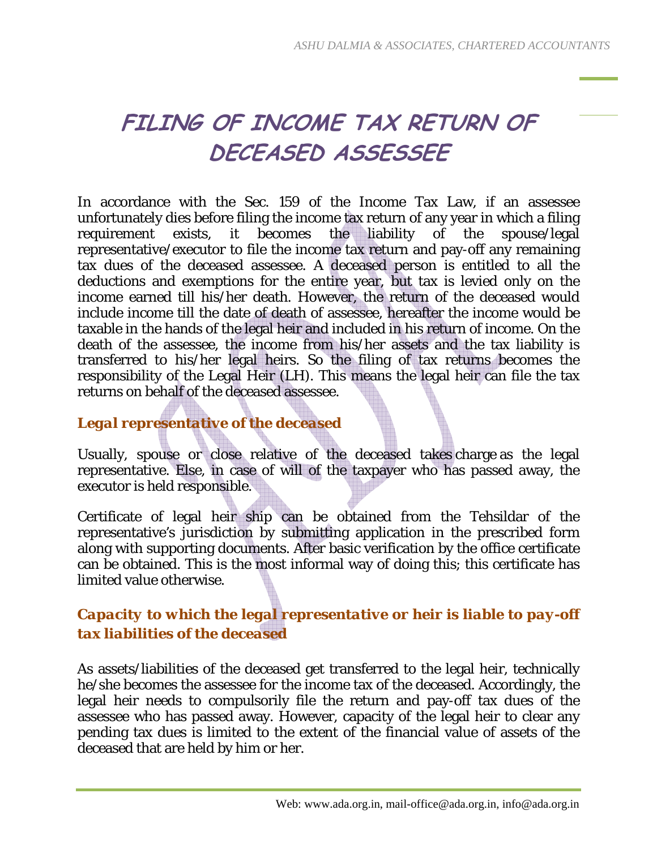# **FILING OF INCOME TAX RETURN OF DECEASED ASSESSEE**

In accordance with the Sec. 159 of the Income Tax Law, if an assessee unfortunately dies before filing the income tax return of any year in which a filing<br>requirement exists, it becomes the liability of the spouse/legal requirement exists, it becomes the liability of the spouse/legal representative/executor to file the income tax return and pay-off any remaining tax dues of the deceased assessee. A deceased person is entitled to all the deductions and exemptions for the entire year, but tax is levied only on the income earned till his/her death. However, the return of the deceased would include income till the date of death of assessee, hereafter the income would be taxable in the hands of the legal heir and included in his return of income. On the death of the assessee, the income from his/her assets and the tax liability is transferred to his/her legal heirs. So the filing of tax returns becomes the responsibility of the Legal Heir (LH). This means the legal heir can file the tax returns on behalf of the deceased assessee.

#### *Legal representative of the deceased*

Usually, spouse or close relative of the deceased takes charge as the legal representative. Else, in case of will of the taxpayer who has passed away, the executor is held responsible.

Certificate of legal heir ship can be obtained from the Tehsildar of the representative's jurisdiction by submitting application in the prescribed form along with supporting documents. After basic verification by the office certificate can be obtained. This is the most informal way of doing this; this certificate has limited value otherwise.

#### *Capacity to which the legal representative or heir is liable to pay-off tax liabilities of the deceased*

As assets/liabilities of the deceased get transferred to the legal heir, technically he/she becomes the assessee for the income tax of the deceased. Accordingly, the legal heir needs to compulsorily file the return and pay-off tax dues of the assessee who has passed away. However, capacity of the legal heir to clear any pending tax dues is limited to the extent of the financial value of assets of the deceased that are held by him or her.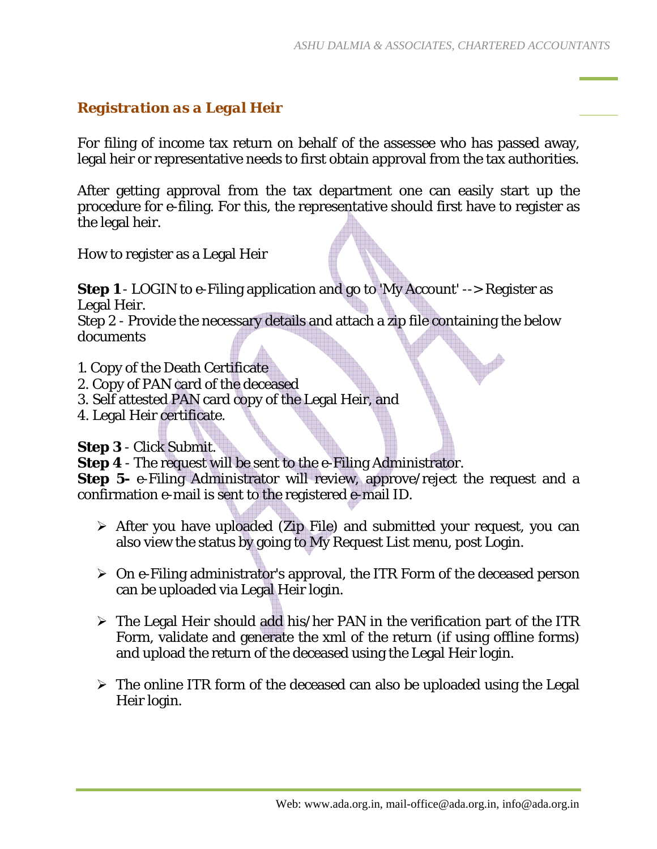### *Registration as a Legal Heir*

For filing of income tax return on behalf of the assessee who has passed away, legal heir or representative needs to first obtain approval from the tax authorities.

After getting approval from the tax department one can easily start up the procedure for e-filing. For this, the representative should first have to register as the legal heir.

How to register as a Legal Heir

**Step 1** - LOGIN to e-Filing application and go to 'My Account' --> Register as Legal Heir.

Step 2 - Provide the necessary details and attach a zip file containing the below documents

- 1. Copy of the Death Certificate
- 2. Copy of PAN card of the deceased
- 3. Self attested PAN card copy of the Legal Heir, and
- 4. Legal Heir certificate.

**Step 3** - Click Submit.

**Step 4** - The request will be sent to the e-Filing Administrator.

**Step 5-** e-Filing Administrator will review, approve/reject the request and a confirmation e-mail is sent to the registered e-mail ID.

- $\triangleright$  After you have uploaded (Zip File) and submitted your request, you can also view the status by going to My Request List menu, post Login.
- $\geq$  On e-Filing administrator's approval, the ITR Form of the deceased person can be uploaded via Legal Heir login.
- $\triangleright$  The Legal Heir should add his/her PAN in the verification part of the ITR Form, validate and generate the xml of the return (if using offline forms) and upload the return of the deceased using the Legal Heir login.
- $\triangleright$  The online ITR form of the deceased can also be uploaded using the Legal Heir login.